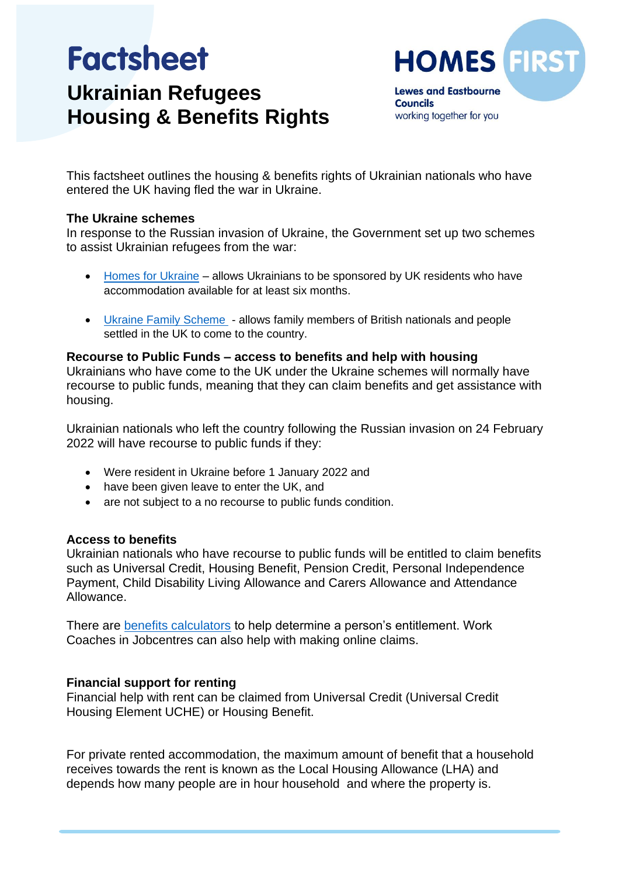# **Factsheet Ukrainian Refugees Housing & Benefits Rights**



working together for you

This factsheet outlines the housing & benefits rights of Ukrainian nationals who have entered the UK having fled the war in Ukraine.

# **The Ukraine schemes**

In response to the Russian invasion of Ukraine, the Government set up two schemes to assist Ukrainian refugees from the war:

- [Homes for Ukraine](https://www.gov.uk/register-interest-homes-ukraine) allows Ukrainians to be sponsored by UK residents who have accommodation available for at least six months.
- [Ukraine Family Scheme](https://www.gov.uk/guidance/apply-for-a-ukraine-family-scheme-visa) allows family members of British nationals and people settled in the UK to come to the country.

## **Recourse to Public Funds – access to benefits and help with housing**

Ukrainians who have come to the UK under the Ukraine schemes will normally have recourse to public funds, meaning that they can claim benefits and get assistance with housing.

Ukrainian nationals who left the country following the Russian invasion on 24 February 2022 will have recourse to public funds if they:

- Were resident in Ukraine before 1 January 2022 and
- have been given leave to enter the UK, and
- are not subject to a no recourse to public funds condition.

# **Access to benefits**

Ukrainian nationals who have recourse to public funds will be entitled to claim benefits such as Universal Credit, Housing Benefit, Pension Credit, Personal Independence Payment, Child Disability Living Allowance and Carers Allowance and Attendance Allowance.

There are **benefits calculators** to help determine a person's entitlement. Work Coaches in Jobcentres can also help with making online claims.

# **Financial support for renting**

Financial help with rent can be claimed from Universal Credit (Universal Credit Housing Element UCHE) or Housing Benefit.

For private rented accommodation, the maximum amount of benefit that a household receives towards the rent is known as the Local Housing Allowance (LHA) and depends how many people are in hour household and where the property is.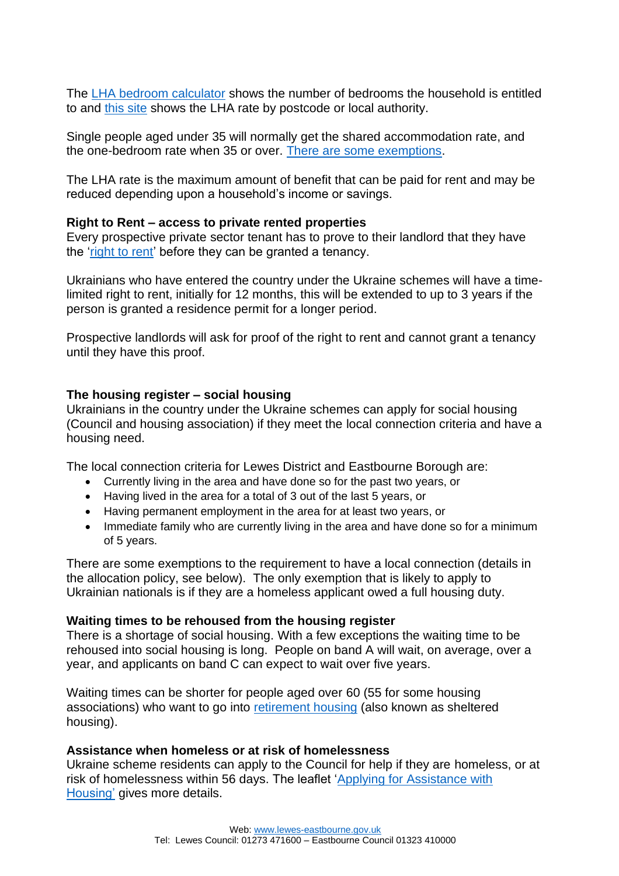The [LHA bedroom calculator](https://lha-direct.voa.gov.uk/bedroomcalculator.aspx) shows the number of bedrooms the household is entitled to and [this site](https://lha-direct.voa.gov.uk/bedroomcalculator.aspx) shows the LHA rate by postcode or local authority.

Single people aged under 35 will normally get the shared accommodation rate, and the one-bedroom rate when 35 or over. [There are some exemptions.](https://england.shelter.org.uk/housing_advice/benefits/benefits_for_under_35s_in_shared_housing)

The LHA rate is the maximum amount of benefit that can be paid for rent and may be reduced depending upon a household's income or savings.

## **Right to Rent – access to private rented properties**

Every prospective private sector tenant has to prove to their landlord that they have the ['right to rent'](https://england.shelter.org.uk/housing_advice/private_renting/right_to_rent_immigration_checks) before they can be granted a tenancy.

Ukrainians who have entered the country under the Ukraine schemes will have a timelimited right to rent, initially for 12 months, this will be extended to up to 3 years if the person is granted a residence permit for a longer period.

Prospective landlords will ask for proof of the right to rent and cannot grant a tenancy until they have this proof.

## **The housing register – social housing**

Ukrainians in the country under the Ukraine schemes can apply for social housing (Council and housing association) if they meet the local connection criteria and have a housing need.

The local connection criteria for Lewes District and Eastbourne Borough are:

- Currently living in the area and have done so for the past two years, or
- Having lived in the area for a total of 3 out of the last 5 years, or
- Having permanent employment in the area for at least two years, or
- Immediate family who are currently living in the area and have done so for a minimum of 5 years.

There are some exemptions to the requirement to have a local connection (details in the allocation policy, see below). The only exemption that is likely to apply to Ukrainian nationals is if they are a homeless applicant owed a full housing duty.

#### **Waiting times to be rehoused from the housing register**

There is a shortage of social housing. With a few exceptions the waiting time to be rehoused into social housing is long. People on band A will wait, on average, over a year, and applicants on band C can expect to wait over five years.

Waiting times can be shorter for people aged over 60 (55 for some housing associations) who want to go into [retirement housing](https://www.lewes-eastbourne.gov.uk/housing/retirement-housing/) (also known as sheltered housing).

#### **Assistance when homeless or at risk of homelessness**

Ukraine scheme residents can apply to the Council for help if they are homeless, or at risk of homelessness within 56 days. The leaflet ['Applying for Assistance with](https://www.lewes-eastbourne.gov.uk/_resources/assets/inline/full/0/319480.pdf)  [Housing'](https://www.lewes-eastbourne.gov.uk/_resources/assets/inline/full/0/319480.pdf) gives more details.